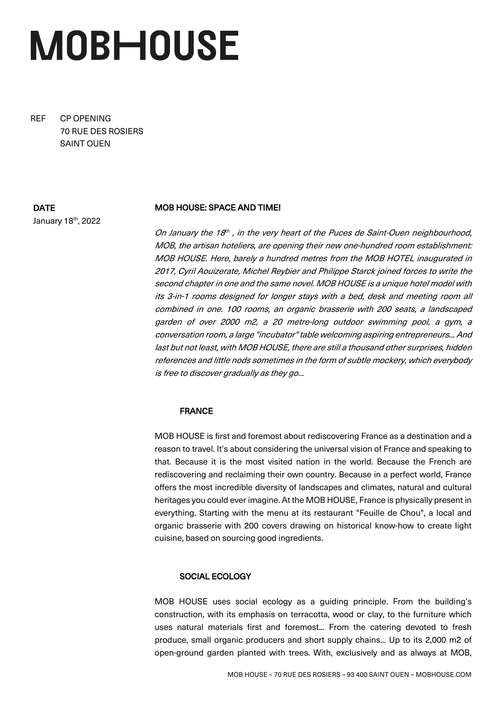# **MOBHOUSE**

REF CP OPENING 70 RUE DES ROSIERS SAINT OUEN

## DATE

January 18th, 2022

# MOB HOUSE: SPACE AND TIME!

On January the 18<sup>th</sup>, in the very heart of the Puces de Saint-Ouen neighbourhood, MOB, the artisan hoteliers, are opening their new one-hundred room establishment: MOB HOUSE. Here, barely a hundred metres from the MOB HOTEL inaugurated in 2017, Cyril Aouizerate, Michel Reybier and Philippe Starck joined forces to write the second chapter in one and the same novel. MOB HOUSE is a unique hotel model with its 3-in-1 rooms designed for longer stays with a bed, desk and meeting room all combined in one. 100 rooms, an organic brasserie with 200 seats, a landscaped garden of over 2000 m2, a 20 metre-long outdoor swimming pool, a gym, a conversation room, a large "incubator" table welcoming aspiring entrepreneurs... And last but not least, with MOB HOUSE, there are still a thousand other surprises, hidden references and little nods sometimes in the form of subtle mockery, which everybody is free to discover gradually as they go...

# FRANCE

MOB HOUSE is first and foremost about rediscovering France as a destination and a reason to travel. It's about considering the universal vision of France and speaking to that. Because it is the most visited nation in the world. Because the French are rediscovering and reclaiming their own country. Because in a perfect world, France offers the most incredible diversity of landscapes and climates, natural and cultural heritages you could ever imagine. At the MOB HOUSE, France is physically present in everything. Starting with the menu at its restaurant "Feuille de Chou", a local and organic brasserie with 200 covers drawing on historical know-how to create light cuisine, based on sourcing good ingredients.

# SOCIAL ECOLOGY

MOB HOUSE uses social ecology as a guiding principle. From the building's construction, with its emphasis on terracotta, wood or clay, to the furniture which uses natural materials first and foremost... From the catering devoted to fresh produce, small organic producers and short supply chains... Up to its 2,000 m2 of open-ground garden planted with trees. With, exclusively and as always at MOB,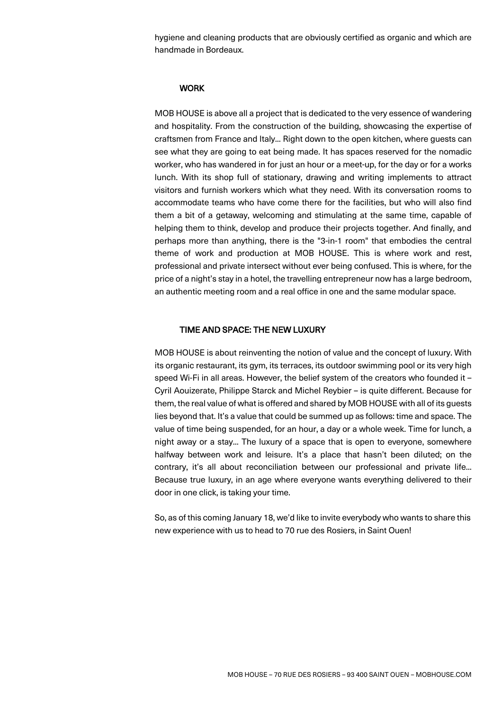hygiene and cleaning products that are obviously certified as organic and which are handmade in Bordeaux.

## **WORK**

MOB HOUSE is above all a project that is dedicated to the very essence of wandering and hospitality. From the construction of the building, showcasing the expertise of craftsmen from France and Italy... Right down to the open kitchen, where guests can see what they are going to eat being made. It has spaces reserved for the nomadic worker, who has wandered in for just an hour or a meet-up, for the day or for a works lunch. With its shop full of stationary, drawing and writing implements to attract visitors and furnish workers which what they need. With its conversation rooms to accommodate teams who have come there for the facilities, but who will also find them a bit of a getaway, welcoming and stimulating at the same time, capable of helping them to think, develop and produce their projects together. And finally, and perhaps more than anything, there is the "3-in-1 room" that embodies the central theme of work and production at MOB HOUSE. This is where work and rest, professional and private intersect without ever being confused. This is where, for the price of a night's stay in a hotel, the travelling entrepreneur now has a large bedroom, an authentic meeting room and a real office in one and the same modular space.

#### TIME AND SPACE: THE NEW LUXURY

MOB HOUSE is about reinventing the notion of value and the concept of luxury. With its organic restaurant, its gym, its terraces, its outdoor swimming pool or its very high speed Wi-Fi in all areas. However, the belief system of the creators who founded it – Cyril Aouizerate, Philippe Starck and Michel Reybier – is quite different. Because for them, the real value of what is offered and shared by MOB HOUSE with all of its guests lies beyond that. It's a value that could be summed up as follows: time and space. The value of time being suspended, for an hour, a day or a whole week. Time for lunch, a night away or a stay... The luxury of a space that is open to everyone, somewhere halfway between work and leisure. It's a place that hasn't been diluted; on the contrary, it's all about reconciliation between our professional and private life... Because true luxury, in an age where everyone wants everything delivered to their door in one click, is taking your time.

So, as of this coming January 18, we'd like to invite everybody who wants to share this new experience with us to head to 70 rue des Rosiers, in Saint Ouen!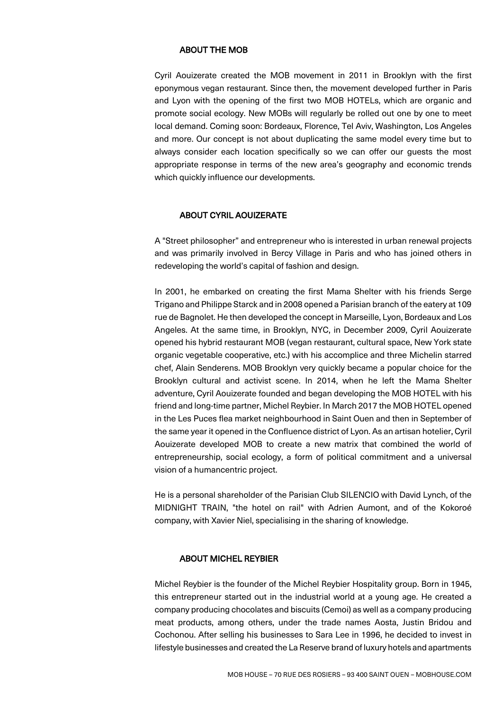#### ABOUT THE MOB

Cyril Aouizerate created the MOB movement in 2011 in Brooklyn with the first eponymous vegan restaurant. Since then, the movement developed further in Paris and Lyon with the opening of the first two MOB HOTELs, which are organic and promote social ecology. New MOBs will regularly be rolled out one by one to meet local demand. Coming soon: Bordeaux, Florence, Tel Aviv, Washington, Los Angeles and more. Our concept is not about duplicating the same model every time but to always consider each location specifically so we can offer our guests the most appropriate response in terms of the new area's geography and economic trends which quickly influence our developments.

#### ABOUT CYRIL AOUIZERATE

A "Street philosopher" and entrepreneur who is interested in urban renewal projects and was primarily involved in Bercy Village in Paris and who has joined others in redeveloping the world's capital of fashion and design.

In 2001, he embarked on creating the first Mama Shelter with his friends Serge Trigano and Philippe Starck and in 2008 opened a Parisian branch of the eatery at 109 rue de Bagnolet. He then developed the concept in Marseille, Lyon, Bordeaux and Los Angeles. At the same time, in Brooklyn, NYC, in December 2009, Cyril Aouizerate opened his hybrid restaurant MOB (vegan restaurant, cultural space, New York state organic vegetable cooperative, etc.) with his accomplice and three Michelin starred chef, Alain Senderens. MOB Brooklyn very quickly became a popular choice for the Brooklyn cultural and activist scene. In 2014, when he left the Mama Shelter adventure, Cyril Aouizerate founded and began developing the MOB HOTEL with his friend and long-time partner, Michel Reybier. In March 2017 the MOB HOTEL opened in the Les Puces flea market neighbourhood in Saint Ouen and then in September of the same year it opened in the Confluence district of Lyon. As an artisan hotelier, Cyril Aouizerate developed MOB to create a new matrix that combined the world of entrepreneurship, social ecology, a form of political commitment and a universal vision of a humancentric project.

He is a personal shareholder of the Parisian Club SILENCIO with David Lynch, of the MIDNIGHT TRAIN, "the hotel on rail" with Adrien Aumont, and of the Kokoroé company, with Xavier Niel, specialising in the sharing of knowledge.

#### ABOUT MICHEL REYBIER

Michel Reybier is the founder of the Michel Reybier Hospitality group. Born in 1945, this entrepreneur started out in the industrial world at a young age. He created a company producing chocolates and biscuits (Cemoi) as well as a company producing meat products, among others, under the trade names Aosta, Justin Bridou and Cochonou. After selling his businesses to Sara Lee in 1996, he decided to invest in lifestyle businesses and created the La Reserve brand of luxury hotels and apartments